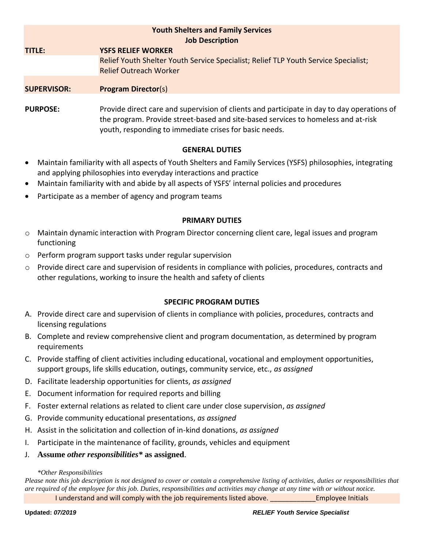| <b>Youth Shelters and Family Services</b><br><b>Job Description</b> |                                                                                            |
|---------------------------------------------------------------------|--------------------------------------------------------------------------------------------|
| TITLE:                                                              | <b>YSFS RELIEF WORKER</b>                                                                  |
|                                                                     | Relief Youth Shelter Youth Service Specialist; Relief TLP Youth Service Specialist;        |
|                                                                     | <b>Relief Outreach Worker</b>                                                              |
| <b>SUPERVISOR:</b>                                                  | <b>Program Director(s)</b>                                                                 |
| <b>PURPOSE:</b>                                                     | Provide direct care and supervision of clients and participate in day to day operations of |

the program. Provide street-based and site-based services to homeless and at-risk youth, responding to immediate crises for basic needs.

# **GENERAL DUTIES**

- Maintain familiarity with all aspects of Youth Shelters and Family Services (YSFS) philosophies, integrating and applying philosophies into everyday interactions and practice
- Maintain familiarity with and abide by all aspects of YSFS' internal policies and procedures
- Participate as a member of agency and program teams

# **PRIMARY DUTIES**

- o Maintain dynamic interaction with Program Director concerning client care, legal issues and program functioning
- o Perform program support tasks under regular supervision
- $\circ$  Provide direct care and supervision of residents in compliance with policies, procedures, contracts and other regulations, working to insure the health and safety of clients

## **SPECIFIC PROGRAM DUTIES**

- A. Provide direct care and supervision of clients in compliance with policies, procedures, contracts and licensing regulations
- B. Complete and review comprehensive client and program documentation, as determined by program requirements
- C. Provide staffing of client activities including educational, vocational and employment opportunities, support groups, life skills education, outings, community service, etc., *as assigned*
- D. Facilitate leadership opportunities for clients, *as assigned*
- E. Document information for required reports and billing
- F. Foster external relations as related to client care under close supervision, *as assigned*
- G. Provide community educational presentations, *as assigned*
- H. Assist in the solicitation and collection of in-kind donations, *as assigned*
- I. Participate in the maintenance of facility, grounds, vehicles and equipment
- J. **Assume** *other responsibilities\** **as assigned**.

### *\*Other Responsibilities*

*Please note this job description is not designed to cover or contain a comprehensive listing of activities, duties or responsibilities that are required of the employee for this job. Duties, responsibilities and activities may change at any time with or without notice.*

I understand and will comply with the job requirements listed above. Employee Initials